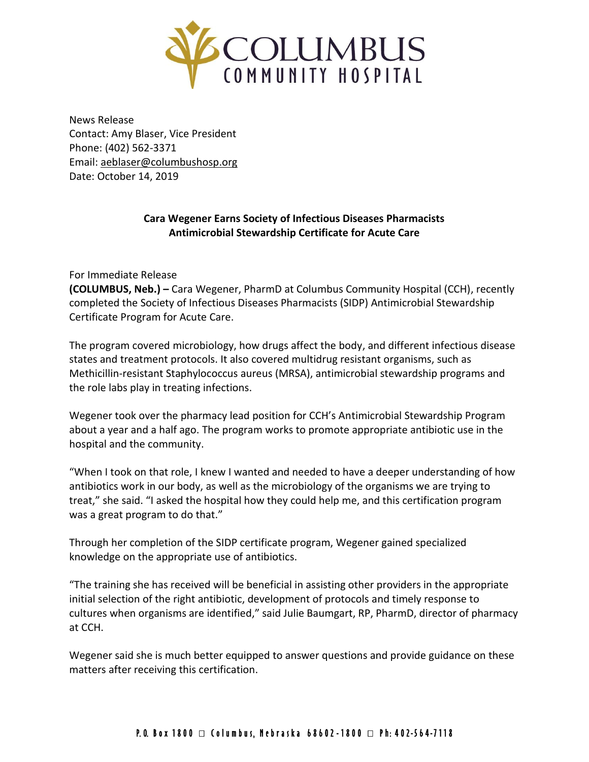

News Release Contact: Amy Blaser, Vice President Phone: (402) 562-3371 Email: [aeblaser@columbushosp.org](mailto:aeblaser@columbushosp.org) Date: October 14, 2019

## **Cara Wegener Earns Society of Infectious Diseases Pharmacists Antimicrobial Stewardship Certificate for Acute Care**

For Immediate Release

**(COLUMBUS, Neb.) –** Cara Wegener, PharmD at Columbus Community Hospital (CCH), recently completed the Society of Infectious Diseases Pharmacists (SIDP) Antimicrobial Stewardship Certificate Program for Acute Care.

The program covered microbiology, how drugs affect the body, and different infectious disease states and treatment protocols. It also covered multidrug resistant organisms, such as Methicillin-resistant Staphylococcus aureus (MRSA), antimicrobial stewardship programs and the role labs play in treating infections.

Wegener took over the pharmacy lead position for CCH's Antimicrobial Stewardship Program about a year and a half ago. The program works to promote appropriate antibiotic use in the hospital and the community.

"When I took on that role, I knew I wanted and needed to have a deeper understanding of how antibiotics work in our body, as well as the microbiology of the organisms we are trying to treat," she said. "I asked the hospital how they could help me, and this certification program was a great program to do that."

Through her completion of the SIDP certificate program, Wegener gained specialized knowledge on the appropriate use of antibiotics.

"The training she has received will be beneficial in assisting other providers in the appropriate initial selection of the right antibiotic, development of protocols and timely response to cultures when organisms are identified," said Julie Baumgart, RP, PharmD, director of pharmacy at CCH.

Wegener said she is much better equipped to answer questions and provide guidance on these matters after receiving this certification.